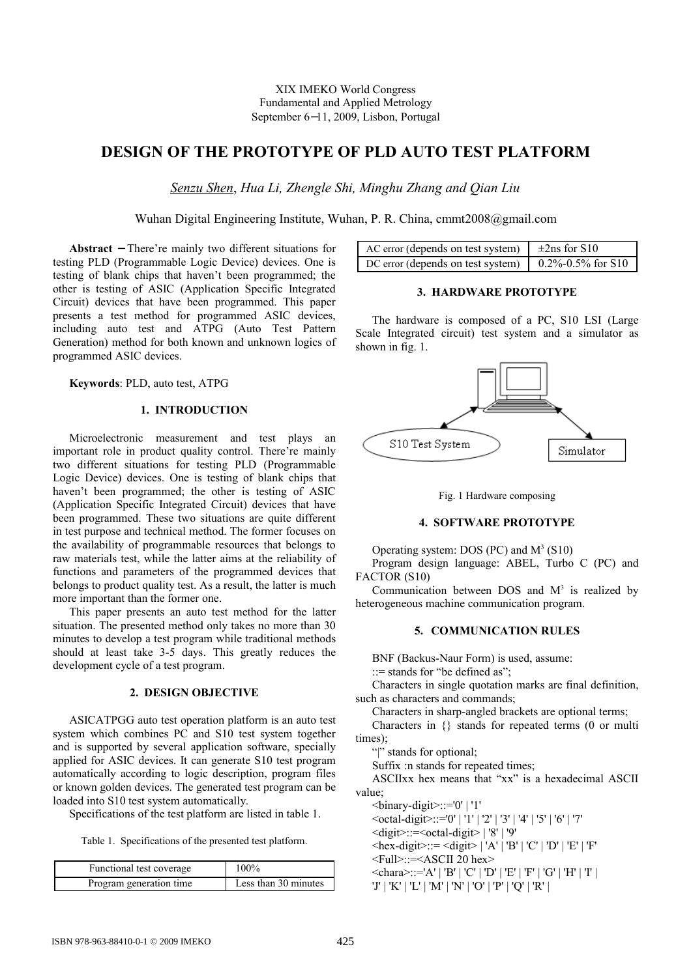# **DESIGN OF THE PROTOTYPE OF PLD AUTO TEST PLATFORM**

*Senzu Shen*, *Hua Li, Zhengle Shi, Minghu Zhang and Qian Liu*

Wuhan Digital Engineering Institute, Wuhan, P. R. China, cmmt2008@gmail.com

**Abstract** − There're mainly two different situations for testing PLD (Programmable Logic Device) devices. One is testing of blank chips that haven't been programmed; the other is testing of ASIC (Application Specific Integrated Circuit) devices that have been programmed. This paper presents a test method for programmed ASIC devices, including auto test and ATPG (Auto Test Pattern Generation) method for both known and unknown logics of programmed ASIC devices.

**Keywords**: PLD, auto test, ATPG

# **1. INTRODUCTION**

Microelectronic measurement and test plays an important role in product quality control. There're mainly two different situations for testing PLD (Programmable Logic Device) devices. One is testing of blank chips that haven't been programmed; the other is testing of ASIC (Application Specific Integrated Circuit) devices that have been programmed. These two situations are quite different in test purpose and technical method. The former focuses on the availability of programmable resources that belongs to raw materials test, while the latter aims at the reliability of functions and parameters of the programmed devices that belongs to product quality test. As a result, the latter is much more important than the former one.

This paper presents an auto test method for the latter situation. The presented method only takes no more than 30 minutes to develop a test program while traditional methods should at least take 3-5 days. This greatly reduces the development cycle of a test program.

# **2. DESIGN OBJECTIVE**

ASICATPGG auto test operation platform is an auto test system which combines PC and S10 test system together and is supported by several application software, specially applied for ASIC devices. It can generate S10 test program automatically according to logic description, program files or known golden devices. The generated test program can be loaded into S10 test system automatically.

Specifications of the test platform are listed in table 1.

Table 1. Specifications of the presented test platform.

| Functional test coverage | 100%                 |
|--------------------------|----------------------|
| Program generation time  | Less than 30 minutes |

| AC error (depends on test system) $\pm 2$ ns for S10                                               |  |
|----------------------------------------------------------------------------------------------------|--|
| DC error (depends on test system) $\begin{bmatrix} 0.2\% & -0.5\% & \text{for } S10 \end{bmatrix}$ |  |

# **3. HARDWARE PROTOTYPE**

The hardware is composed of a PC, S10 LSI (Large Scale Integrated circuit) test system and a simulator as shown in fig. 1.



Fig. 1 Hardware composing

# **4. SOFTWARE PROTOTYPE**

Operating system: DOS (PC) and  $M<sup>3</sup>$  (S10)

Program design language: ABEL, Turbo C (PC) and FACTOR (S10)

Communication between DOS and  $M<sup>3</sup>$  is realized by heterogeneous machine communication program.

# **5. COMMUNICATION RULES**

BNF (Backus-Naur Form) is used, assume:

::= stands for "be defined as";

Characters in single quotation marks are final definition, such as characters and commands;

Characters in sharp-angled brackets are optional terms; Characters in {} stands for repeated terms (0 or multi

times);

"|" stands for optional;

Suffix :n stands for repeated times;

ASCIIxx hex means that "xx" is a hexadecimal ASCII value;

<binary-digit>::='0' | '1'

 $\le$ octal-digit>::='0' | '1' | '2' | '3' | '4' | '5' | '6' | '7'

<digit>::=<octal-digit> | '8' | '9'

 $\le$ hex-digit>::=  $\le$ digit> | 'A' | 'B' | 'C' | 'D' | 'E' | 'F'

<Full>::=<ASCII 20 hex>

 $\le$ chara>::='A' | 'B' | 'C' | 'D' | 'E' | 'F' | 'G' | 'H' | 'I' |

'J' | 'K' | 'L' | 'M' | 'N' | 'O' | 'P' | 'Q' | 'R' |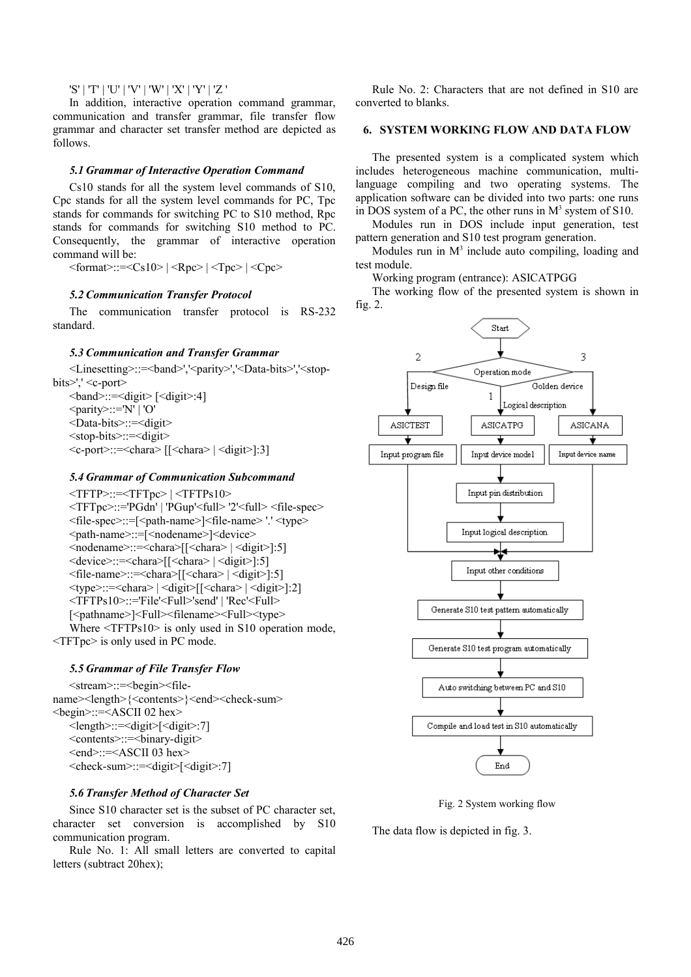'S' | 'T' | 'U' | 'V' | 'W' | 'X' | 'Y' | 'Z '

In addition, interactive operation command grammar, communication and transfer grammar, file transfer flow grammar and character set transfer method are depicted as follows.

# *5.1 Grammar of Interactive Operation Command*

Cs10 stands for all the system level commands of S10, Cpc stands for all the system level commands for PC, Tpc stands for commands for switching PC to S10 method, Rpc stands for commands for switching S10 method to PC. Consequently, the grammar of interactive operation command will be:

 $\leq$ format>::= $\leq$ Cs10> |  $\leq$ Rpc> |  $\leq$ Tpc> |  $\leq$ Cpc>

# *5.2 Communication Transfer Protocol*

The communication transfer protocol is RS-232 standard.

# *5.3 Communication and Transfer Grammar*

<Linesetting>::=<band>','<parity>','<Data-bits>','<stopbits>',' <c-port>

<band>::=<digit> [<digit>:4] <parity>::='N' | 'O' <Data-bits>::=<digit> <stop-bits>::=<digit>  $\leq c$ -port $\geq$ :: $=\leq$ chara $\geq$  [[ $\leq$ chara $\geq$ ] $\leq$ digit $\geq$ ]:3]

# *5.4 Grammar of Communication Subcommand*

<TFTP>::=<TFTpc> | <TFTPs10> <TFTpc>::='PGdn' | 'PGup'<full> '2'<full> <file-spec> <file-spec>::=[<path-name>]<file-name> '.' <type> <path-name>::=[<nodename>]<device> <nodename>::=<chara>[[<chara> | <digit>]:5] <device>::=<chara>[[<chara> | <digit>]:5] <file-name>::=<chara>[[<chara> | <digit>]:5]  $\langle \text{type}\rangle$ ::= $\langle \text{char} \rangle$  |  $\langle \text{digit}\rangle$  |  $\langle \text{char} \rangle$  |  $\langle \text{digit}\rangle$  |:2] <TFTPs10>::='File'<Full>'send' | 'Rec'<Full> [<pathname>]<Full><filename><Full><type> Where  $\leq$ TFTPs10> is only used in S10 operation mode, <TFTpc> is only used in PC mode.

# *5.5 Grammar of File Transfer Flow*

<stream>::=<br/>begin><filename><length>{<contents>}<end><check-sum> <begin>::=<ASCII 02 hex> <length>::=<digit>[<digit>:7] <contents>::=<binary-digit> <end>::=<ASCII 03 hex> <check-sum>::=<digit>[<digit>:7]

# *5.6 Transfer Method of Character Set*

Since S10 character set is the subset of PC character set, character set conversion is accomplished by S10 communication program.

Rule No. 1: All small letters are converted to capital letters (subtract 20hex);

Rule No. 2: Characters that are not defined in S10 are converted to blanks.

# **6. SYSTEM WORKING FLOW AND DATA FLOW**

The presented system is a complicated system which includes heterogeneous machine communication, multilanguage compiling and two operating systems. The application software can be divided into two parts: one runs in DOS system of a PC, the other runs in  $M<sup>3</sup>$  system of S10.

Modules run in DOS include input generation, test pattern generation and S10 test program generation.

Modules run in  $M<sup>3</sup>$  include auto compiling, loading and test module.

Working program (entrance): ASICATPGG

The working flow of the presented system is shown in fig. 2.



Fig. 2 System working flow

The data flow is depicted in fig. 3.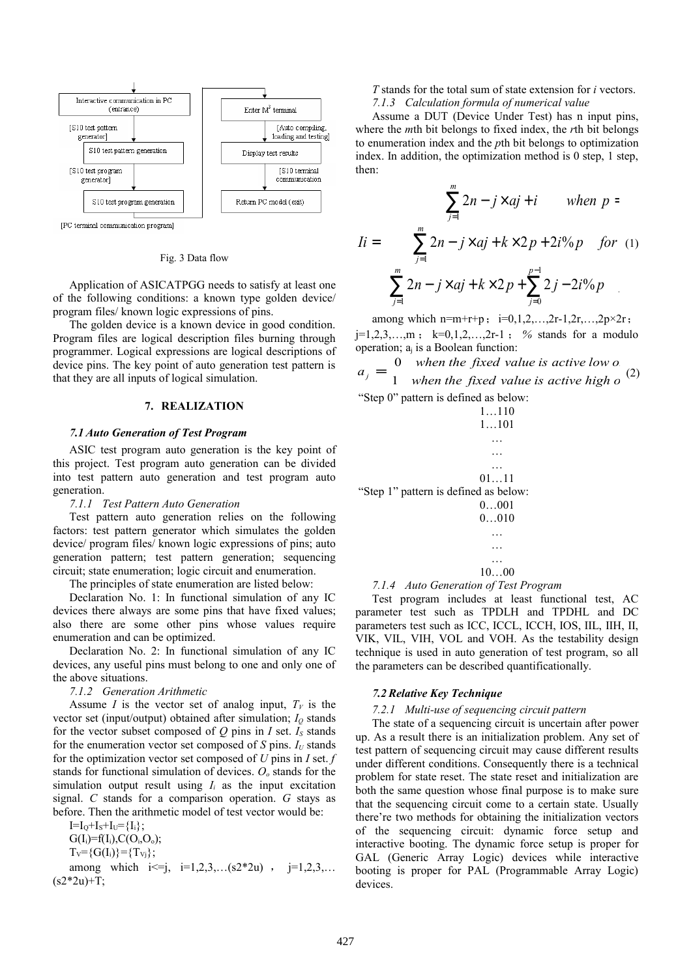

[PC terminal communication program]

#### Fig. 3 Data flow

Application of ASICATPGG needs to satisfy at least one of the following conditions: a known type golden device/ program files/ known logic expressions of pins.

The golden device is a known device in good condition. Program files are logical description files burning through programmer. Logical expressions are logical descriptions of device pins. The key point of auto generation test pattern is that they are all inputs of logical simulation.

### **7. REALIZATION**

#### *7.1 Auto Generation of Test Program*

ASIC test program auto generation is the key point of this project. Test program auto generation can be divided into test pattern auto generation and test program auto generation.

#### *7.1.1 Test Pattern Auto Generation*

Test pattern auto generation relies on the following factors: test pattern generator which simulates the golden device/ program files/ known logic expressions of pins; auto generation pattern; test pattern generation; sequencing circuit; state enumeration; logic circuit and enumeration.

The principles of state enumeration are listed below:

Declaration No. 1: In functional simulation of any IC devices there always are some pins that have fixed values; also there are some other pins whose values require enumeration and can be optimized.

Declaration No. 2: In functional simulation of any IC devices, any useful pins must belong to one and only one of the above situations.

#### *7.1.2 Generation Arithmetic*

Assume *I* is the vector set of analog input,  $T_V$  is the vector set (input/output) obtained after simulation;  $I<sub>Q</sub>$  stands for the vector subset composed of  $Q$  pins in  $I$  set.  $I<sub>S</sub>$  stands for the enumeration vector set composed of *S* pins.  $I_U$  stands for the optimization vector set composed of *U* pins in *I* set. *f* stands for functional simulation of devices. *Oo* stands for the simulation output result using  $I_i$  as the input excitation signal. *C* stands for a comparison operation. *G* stays as before. Then the arithmetic model of test vector would be:

 $I=I_0+I_s+I_U=\{I_i\};$  $G(I_i)=f(I_i), C(O_i,O_o);$  $T_v = \{G(I_i)\} = \{T_{Vi}\};$ 

among which  $i \leq j$ ,  $i = 1, 2, 3, \ldots$  (s2\*2u),  $j = 1, 2, 3, \ldots$  $(s2*2u)+T;$ 

*T* stands for the total sum of state extension for *i* vectors. *7.1.3 Calculation formula of numerical value*

Assume a DUT (Device Under Test) has n input pins, where the *m*th bit belongs to fixed index, the *r*th bit belongs to enumeration index and the *p*th bit belongs to optimization index. In addition, the optimization method is 0 step, 1 step, then:

$$
I = \begin{cases} \sum_{j=1}^{m} 2n - j \times aj + i & when \ p = \\ \sum_{j=1}^{m} 2n - j \times aj + k \times 2p + 2i\%p & for \ (1) \\ \sum_{j=1}^{m} 2n - j \times aj + k \times 2p + \sum_{j=0}^{p-1} 2j - 2i\%p \end{cases}
$$

among which n=m+r+p;  $i=0,1,2,...,2r-1,2r,...,2p\times 2r$ ; j=1,2,3,…,m ; k=0,1,2,…,2r-1 ; *%* stands for a modulo operation; aj is a Boolean function:

 $\mathfrak{t}$ {∣  $=\begin{cases} 0 & \text{when the fixed value is active low } o \\ 1 & \text{when the fixed value is active high } o \end{cases}$  (2) 0 when the fixed value is active low  $\sigma$ *k when the fixed value is active high o*<sup>12</sup>  $a_j = \begin{cases} 0 & \text{when the fixed value is active low } o \\ 1 & \text{when the fundamental value is getting high } e^{(2)} \end{cases}$ "Step 0" pattern is defined as below:



#### *7.1.4 Auto Generation of Test Program*

Test program includes at least functional test, AC parameter test such as TPDLH and TPDHL and DC parameters test such as ICC, ICCL, ICCH, IOS, IIL, IIH, II, VIK, VIL, VIH, VOL and VOH. As the testability design technique is used in auto generation of test program, so all the parameters can be described quantificationally.

# *7.2 Relative Key Technique*

#### *7.2.1 Multi-use of sequencing circuit pattern*

The state of a sequencing circuit is uncertain after power up. As a result there is an initialization problem. Any set of test pattern of sequencing circuit may cause different results under different conditions. Consequently there is a technical problem for state reset. The state reset and initialization are both the same question whose final purpose is to make sure that the sequencing circuit come to a certain state. Usually there're two methods for obtaining the initialization vectors of the sequencing circuit: dynamic force setup and interactive booting. The dynamic force setup is proper for GAL (Generic Array Logic) devices while interactive booting is proper for PAL (Programmable Array Logic) devices.